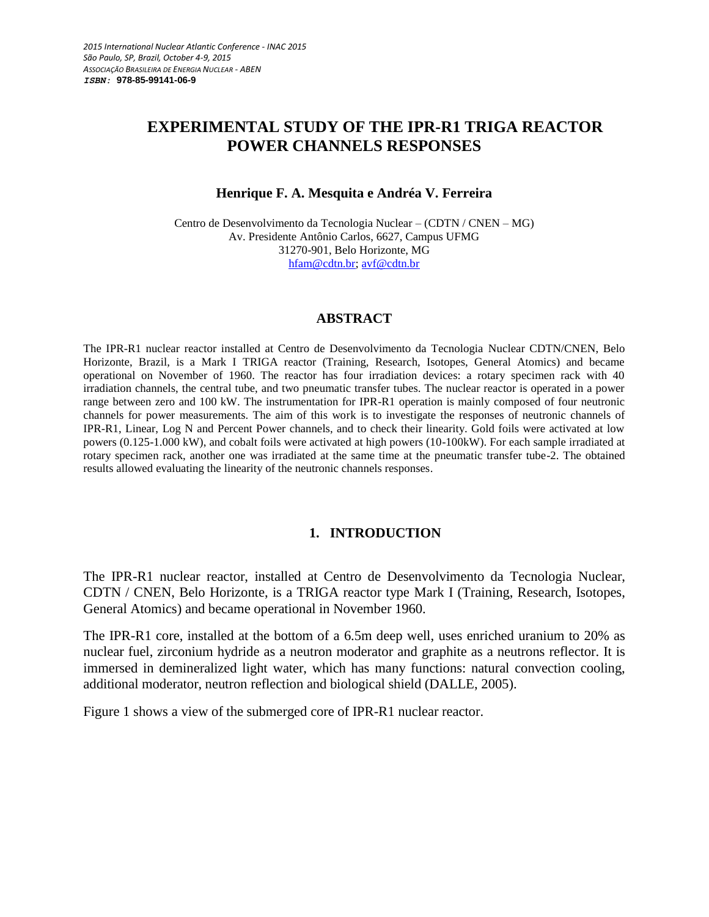# **EXPERIMENTAL STUDY OF THE IPR-R1 TRIGA REACTOR POWER CHANNELS RESPONSES**

#### **Henrique F. A. Mesquita e Andréa V. Ferreira**

Centro de Desenvolvimento da Tecnologia Nuclear – (CDTN / CNEN – MG) Av. Presidente Antônio Carlos, 6627, Campus UFMG 31270-901, Belo Horizonte, MG [hfam@cdtn.br;](mailto:hfam@cdtn.br) avf@cdtn.br

## **ABSTRACT**

The IPR-R1 nuclear reactor installed at Centro de Desenvolvimento da Tecnologia Nuclear CDTN/CNEN, Belo Horizonte, Brazil, is a Mark I TRIGA reactor (Training, Research, Isotopes, General Atomics) and became operational on November of 1960. The reactor has four irradiation devices: a rotary specimen rack with 40 irradiation channels, the central tube, and two pneumatic transfer tubes. The nuclear reactor is operated in a power range between zero and 100 kW. The instrumentation for IPR-R1 operation is mainly composed of four neutronic channels for power measurements. The aim of this work is to investigate the responses of neutronic channels of IPR-R1, Linear, Log N and Percent Power channels, and to check their linearity. Gold foils were activated at low powers (0.125-1.000 kW), and cobalt foils were activated at high powers (10-100kW). For each sample irradiated at rotary specimen rack, another one was irradiated at the same time at the pneumatic transfer tube-2. The obtained results allowed evaluating the linearity of the neutronic channels responses.

## **1. INTRODUCTION**

The IPR-R1 nuclear reactor, installed at Centro de Desenvolvimento da Tecnologia Nuclear, CDTN / CNEN, Belo Horizonte, is a TRIGA reactor type Mark I (Training, Research, Isotopes, General Atomics) and became operational in November 1960.

The IPR-R1 core, installed at the bottom of a 6.5m deep well, uses enriched uranium to 20% as nuclear fuel, zirconium hydride as a neutron moderator and graphite as a neutrons reflector. It is immersed in demineralized light water, which has many functions: natural convection cooling, additional moderator, neutron reflection and biological shield (DALLE, 2005).

Figure 1 shows a view of the submerged core of IPR-R1 nuclear reactor.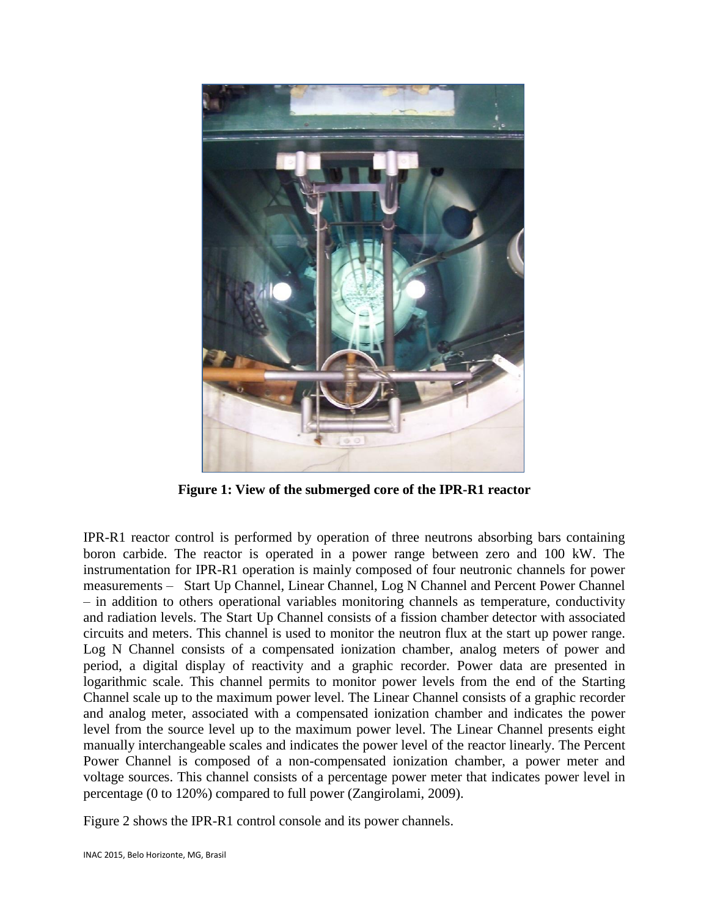

**Figure 1: View of the submerged core of the IPR-R1 reactor**

IPR-R1 reactor control is performed by operation of three neutrons absorbing bars containing boron carbide. The reactor is operated in a power range between zero and 100 kW. The instrumentation for IPR-R1 operation is mainly composed of four neutronic channels for power measurements – Start Up Channel, Linear Channel, Log N Channel and Percent Power Channel – in addition to others operational variables monitoring channels as temperature, conductivity and radiation levels. The Start Up Channel consists of a fission chamber detector with associated circuits and meters. This channel is used to monitor the neutron flux at the start up power range. Log N Channel consists of a compensated ionization chamber, analog meters of power and period, a digital display of reactivity and a graphic recorder. Power data are presented in logarithmic scale. This channel permits to monitor power levels from the end of the Starting Channel scale up to the maximum power level. The Linear Channel consists of a graphic recorder and analog meter, associated with a compensated ionization chamber and indicates the power level from the source level up to the maximum power level. The Linear Channel presents eight manually interchangeable scales and indicates the power level of the reactor linearly. The Percent Power Channel is composed of a non-compensated ionization chamber, a power meter and voltage sources. This channel consists of a percentage power meter that indicates power level in percentage (0 to 120%) compared to full power (Zangirolami, 2009).

Figure 2 shows the IPR-R1 control console and its power channels.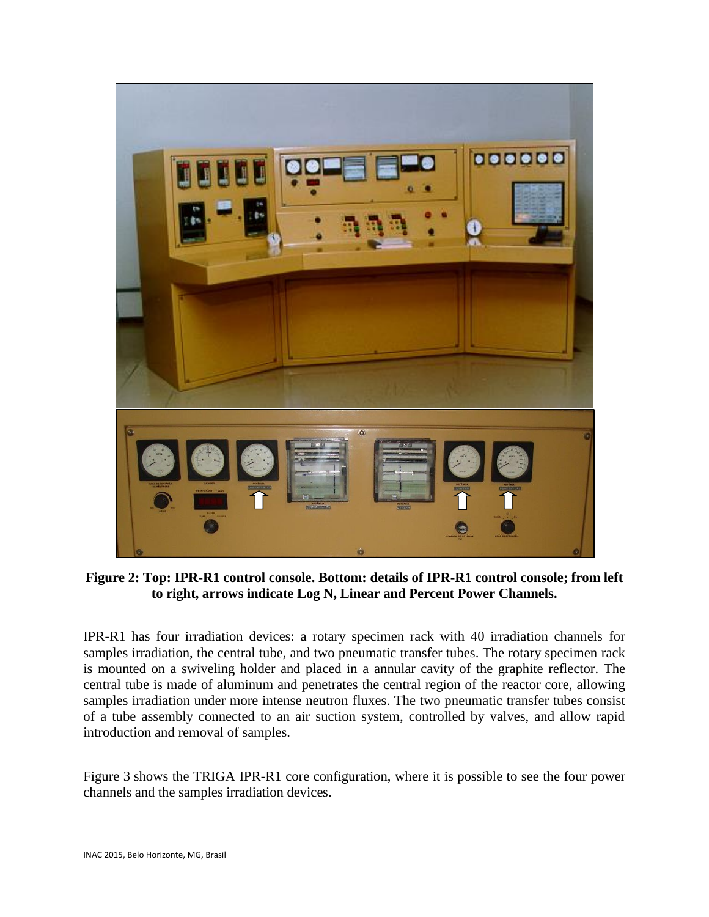

**Figure 2: Top: IPR-R1 control console. Bottom: details of IPR-R1 control console; from left to right, arrows indicate Log N, Linear and Percent Power Channels.**

IPR-R1 has four irradiation devices: a rotary specimen rack with 40 irradiation channels for samples irradiation, the central tube, and two pneumatic transfer tubes. The rotary specimen rack is mounted on a swiveling holder and placed in a annular cavity of the graphite reflector. The central tube is made of aluminum and penetrates the central region of the reactor core, allowing samples irradiation under more intense neutron fluxes. The two pneumatic transfer tubes consist of a tube assembly connected to an air suction system, controlled by valves, and allow rapid introduction and removal of samples.

Figure 3 shows the TRIGA IPR-R1 core configuration, where it is possible to see the four power channels and the samples irradiation devices.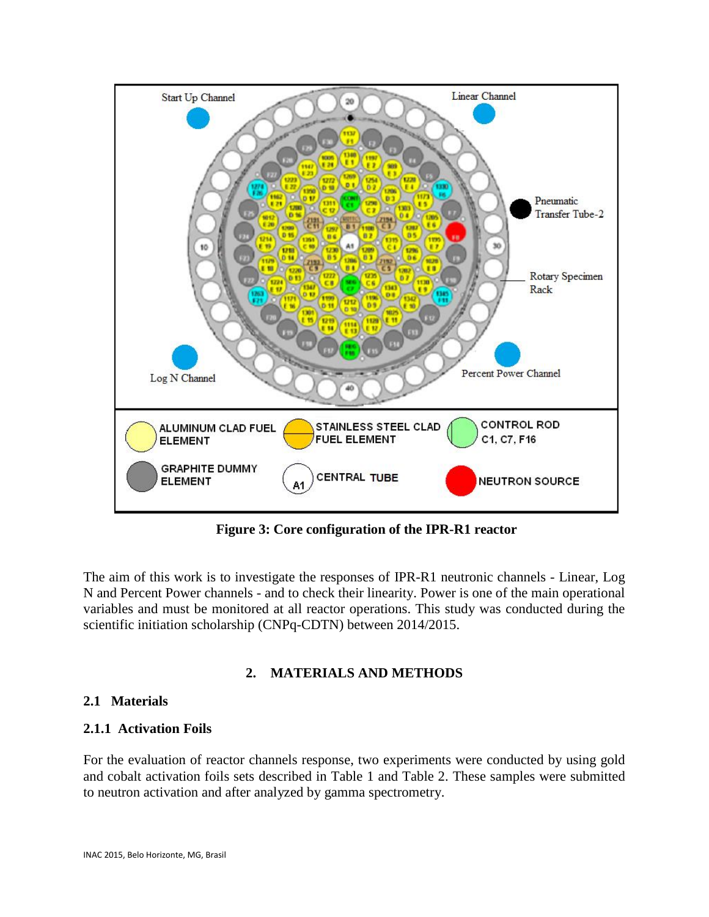

**Figure 3: Core configuration of the IPR-R1 reactor** 

The aim of this work is to investigate the responses of IPR-R1 neutronic channels - Linear, Log N and Percent Power channels - and to check their linearity. Power is one of the main operational variables and must be monitored at all reactor operations. This study was conducted during the scientific initiation scholarship (CNPq-CDTN) between 2014/2015.

## **2. MATERIALS AND METHODS**

## **2.1 Materials**

## **2.1.1 Activation Foils**

For the evaluation of reactor channels response, two experiments were conducted by using gold and cobalt activation foils sets described in Table 1 and Table 2. These samples were submitted to neutron activation and after analyzed by gamma spectrometry.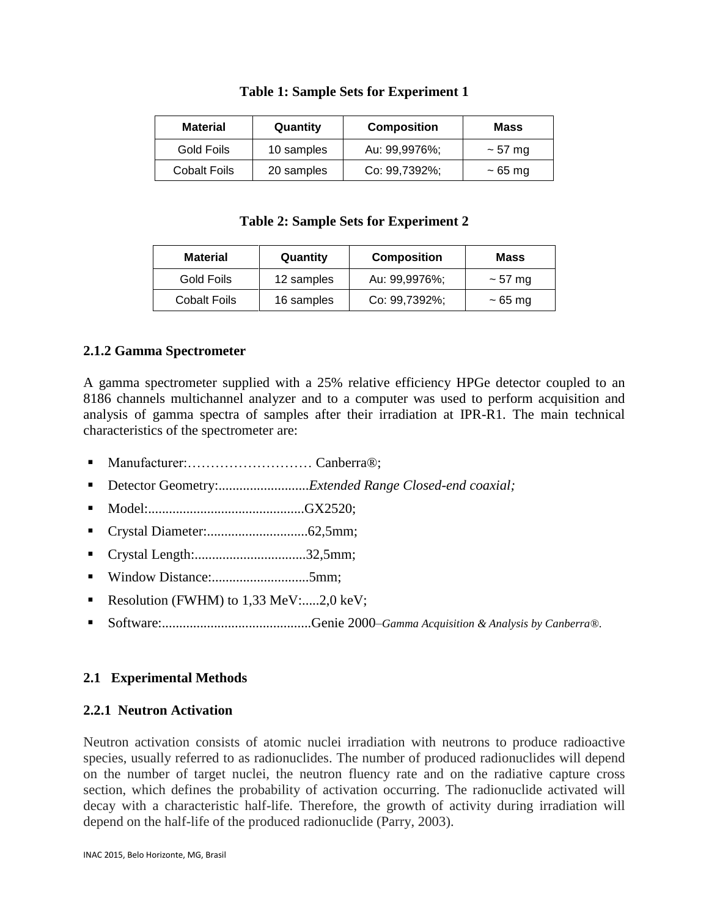| <b>Table 1: Sample Sets for Experiment 1</b> |
|----------------------------------------------|
|                                              |

| <b>Material</b>     | Quantity   | <b>Composition</b> | Mass         |
|---------------------|------------|--------------------|--------------|
| Gold Foils          | 10 samples | Au: 99,9976%;      | $\sim$ 57 mg |
| <b>Cobalt Foils</b> | 20 samples | Co: 99,7392%;      | $\sim$ 65 mg |

### **Table 2: Sample Sets for Experiment 2**

| <b>Material</b>                   | Quantity   | <b>Composition</b> | Mass         |
|-----------------------------------|------------|--------------------|--------------|
| Gold Foils                        | 12 samples | Au: 99,9976%;      | $\sim$ 57 mg |
| 16 samples<br><b>Cobalt Foils</b> |            | Co: 99,7392%;      | $\sim$ 65 mg |

## **2.1.2 Gamma Spectrometer**

A gamma spectrometer supplied with a 25% relative efficiency HPGe detector coupled to an 8186 channels multichannel analyzer and to a computer was used to perform acquisition and analysis of gamma spectra of samples after their irradiation at IPR-R1. The main technical characteristics of the spectrometer are:

- Manufacturer:……………………… Canberra®;
- Detector Geometry:........................*Extended Range Closed-end coaxial*;
- Model:.............................................GX2520;
- Crystal Diameter:.............................62,5mm;
- Crystal Length:................................32,5mm;
- Window Distance:............................5mm;
- Resolution (FWHM) to  $1.33$  MeV:.....2.0 keV:
- Software:...........................................Genie 2000–*Gamma Acquisition & Analysis by Canberra®*.

## **2.1 Experimental Methods**

## **2.2.1 Neutron Activation**

Neutron activation consists of atomic nuclei irradiation with neutrons to produce radioactive species, usually referred to as radionuclides. The number of produced radionuclides will depend on the number of target nuclei, the neutron fluency rate and on the radiative capture cross section, which defines the probability of activation occurring. The radionuclide activated will decay with a characteristic half-life. Therefore, the growth of activity during irradiation will depend on the half-life of the produced radionuclide (Parry, 2003).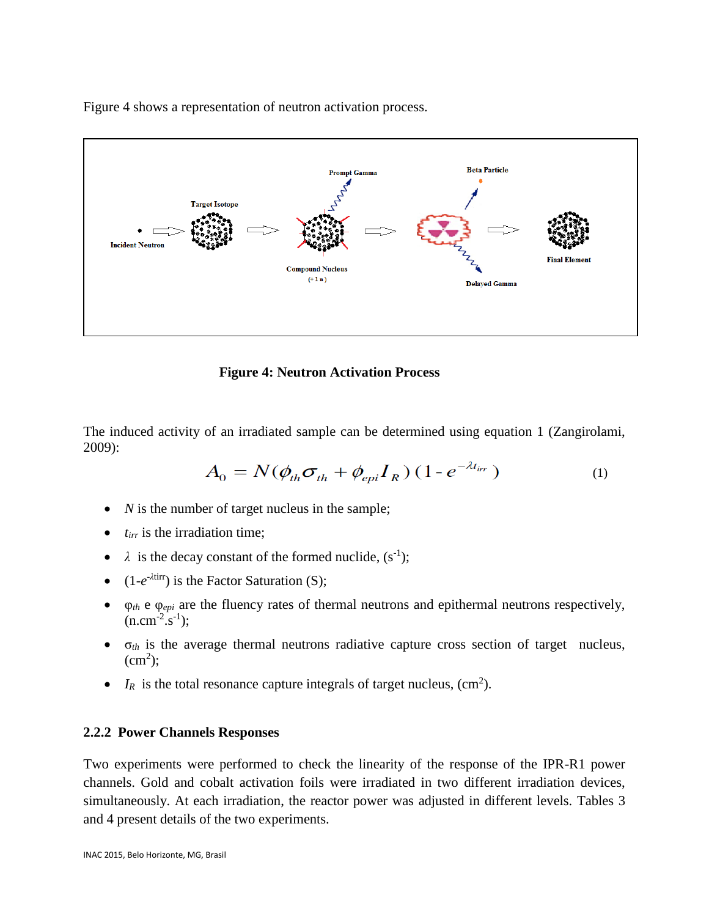Figure 4 shows a representation of neutron activation process.



**Figure 4: Neutron Activation Process**

The induced activity of an irradiated sample can be determined using equation 1 (Zangirolami, 2009):

$$
A_0 = N(\phi_{th}\sigma_{th} + \phi_{epi}I_R)(1 - e^{-\lambda t_{irr}})
$$
 (1)

- *N* is the number of target nucleus in the sample;
- *t<sub>irr</sub>* is the irradiation time;
- $\lambda$  is the decay constant of the formed nuclide,  $(s^{-1})$ ;
- (1-*e*<sup>- $\lambda$ tirr</sup>) is the Factor Saturation (S);
- φ*th* e φ*epi* are the fluency rates of thermal neutrons and epithermal neutrons respectively,  $(n.cm^{-2}.s^{-1});$
- $\bullet$   $\sigma_{th}$  is the average thermal neutrons radiative capture cross section of target nucleus,  $(cm<sup>2</sup>)$ ;
- $I_R$  is the total resonance capture integrals of target nucleus,  $\text{cm}^2$ ).

#### **2.2.2 Power Channels Responses**

Two experiments were performed to check the linearity of the response of the IPR-R1 power channels. Gold and cobalt activation foils were irradiated in two different irradiation devices, simultaneously. At each irradiation, the reactor power was adjusted in different levels. Tables 3 and 4 present details of the two experiments.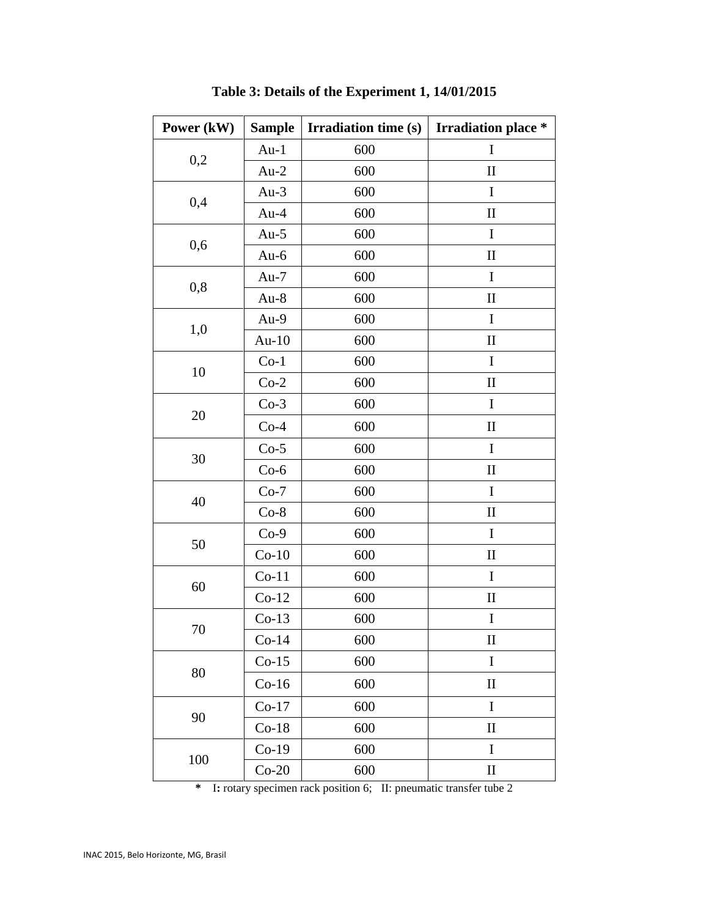| Power (kW) | <b>Sample</b> | <b>Irradiation time (s)</b> | <b>Irradiation place *</b> |
|------------|---------------|-----------------------------|----------------------------|
|            | $Au-1$        | 600                         | $\mathbf I$                |
| 0,2        | $Au-2$        | 600                         | $\mathbf{I}$               |
| 0,4        | Au- $3$       | 600                         | I                          |
|            | $Au-4$        | 600                         | $\mathbf{I}$               |
| 0,6        | Au- $5$       | 600                         | $\mathbf I$                |
|            | Au- $6$       | 600                         | $\mathbf{I}$               |
| 0,8        | $Au-7$        | 600                         | I                          |
|            | $Au-8$        | 600                         | $\mathbf{I}$               |
| 1,0        | Au-9          | 600                         | I                          |
|            | Au- $10$      | 600                         | $\mathbf{I}$               |
| 10         | $Co-1$        | 600                         | I                          |
|            | $Co-2$        | 600                         | $\mathbf{I}$               |
|            | $Co-3$        | 600                         | I                          |
| 20         | $Co-4$        | 600                         | $\mathbf{I}$               |
| 30         | $Co-5$        | 600                         | I                          |
|            | $Co-6$        | 600                         | $\mathbf{I}$               |
| 40         | $Co-7$        | 600                         | $\mathbf I$                |
|            | $Co-8$        | 600                         | $\mathbf{I}$               |
| 50         | $Co-9$        | 600                         | I                          |
|            | $Co-10$       | 600                         | $\mathbf{I}$               |
| 60         | $Co-11$       | 600                         | $\mathbf I$                |
|            | $Co-12$       | 600                         | $\mathbf{I}$               |
| 70         | $Co-13$       | 600                         | I                          |
|            | $Co-14$       | 600                         | $\mathbf{I}$               |
| 80         | $Co-15$       | 600                         | $\bf I$                    |
|            | $Co-16$       | 600                         | $\mathbf{I}$               |
| 90         | $Co-17$       | 600                         | $\mathbf I$                |
|            | $Co-18$       | 600                         | $\mathbf{I}$               |
| 100        | $Co-19$       | 600                         | I                          |
|            | $Co-20$       | 600                         | $\mathbf{I}$               |

**Table 3: Details of the Experiment 1, 14/01/2015**

**\*** I**:** rotary specimen rack position 6; II: pneumatic transfer tube 2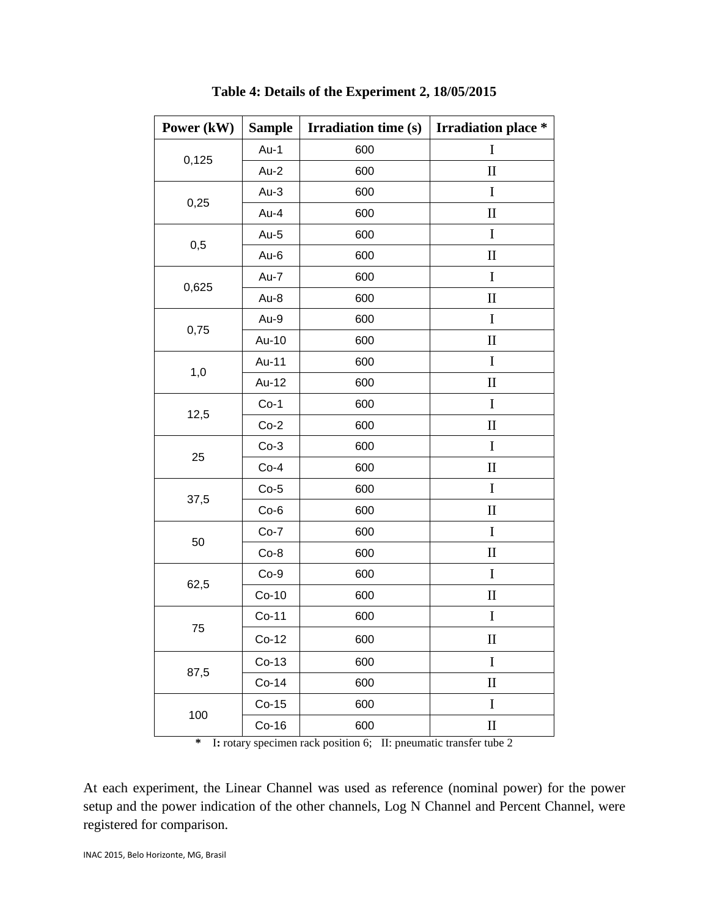| Power (kW) | <b>Sample</b> | <b>Irradiation time (s)</b> | <b>Irradiation place *</b> |
|------------|---------------|-----------------------------|----------------------------|
|            | $Au-1$        | 600                         | $\mathbf I$                |
| 0,125      | $Au-2$        | 600                         | $\mathbf{I}$               |
| 0,25       | $Au-3$        | 600                         | $\mathbf I$                |
|            | Au-4          | 600                         | $\mathbf H$                |
| 0,5        | Au-5          | 600                         | $\mathbf I$                |
|            | Au-6          | 600                         | $\mathbf{I}$               |
| 0,625      | Au-7          | 600                         | $\mathbf I$                |
|            | Au-8          | 600                         | $\mathbf{I}$               |
| 0,75       | Au-9          | 600                         | I                          |
|            | Au-10         | 600                         | $\mathbf H$                |
| 1,0        | Au-11         | 600                         | $\bf{I}$                   |
|            | Au-12         | 600                         | $\mathbf{I}$               |
| 12,5       | $Co-1$        | 600                         | I                          |
|            | $Co-2$        | 600                         | $\mathbf{I}$               |
| 25         | $Co-3$        | 600                         | $\mathbf I$                |
|            | $Co-4$        | 600                         | $\mathbf{I}$               |
| 37,5       | $Co-5$        | 600                         | $\mathbf I$                |
|            | $Co-6$        | 600                         | $\mathbf{I}$               |
| 50         | $Co-7$        | 600                         | $\mathbf I$                |
|            | $Co-8$        | 600                         | $\rm II$                   |
| 62,5       | $Co-9$        | 600                         | $\mathbf I$                |
|            | $Co-10$       | 600                         | $\mathbf{I}$               |
|            | $Co-11$       | 600                         | $\mathbf I$                |
| 75         | $Co-12$       | 600                         | $\mathop{\rm II}\nolimits$ |
| 87,5       | $Co-13$       | 600                         | $\bf I$                    |
|            | $Co-14$       | 600                         | $\mathbf{I}$               |
|            | $Co-15$       | 600                         | $\mathbf I$                |
| 100        | $Co-16$       | 600                         | $\rm II$                   |

**Table 4: Details of the Experiment 2, 18/05/2015**

**\*** I**:** rotary specimen rack position 6; II: pneumatic transfer tube 2

At each experiment, the Linear Channel was used as reference (nominal power) for the power setup and the power indication of the other channels, Log N Channel and Percent Channel, were registered for comparison.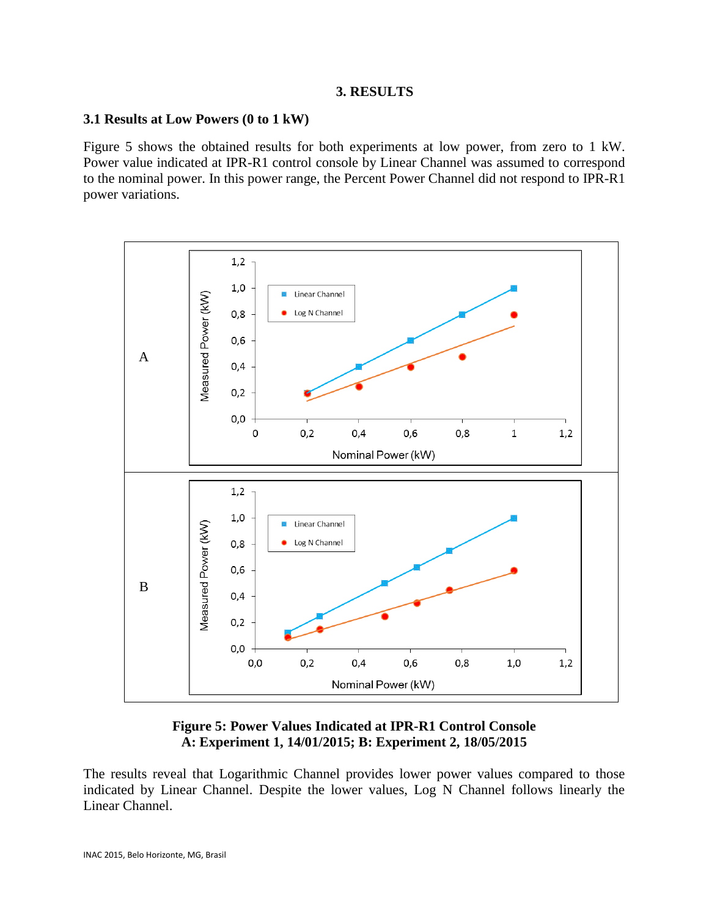### **3. RESULTS**

### **3.1 Results at Low Powers (0 to 1 kW)**

Figure 5 shows the obtained results for both experiments at low power, from zero to 1 kW. Power value indicated at IPR-R1 control console by Linear Channel was assumed to correspond to the nominal power. In this power range, the Percent Power Channel did not respond to IPR-R1 power variations.



## **Figure 5: Power Values Indicated at IPR-R1 Control Console A: Experiment 1, 14/01/2015; B: Experiment 2, 18/05/2015**

The results reveal that Logarithmic Channel provides lower power values compared to those indicated by Linear Channel. Despite the lower values, Log N Channel follows linearly the Linear Channel.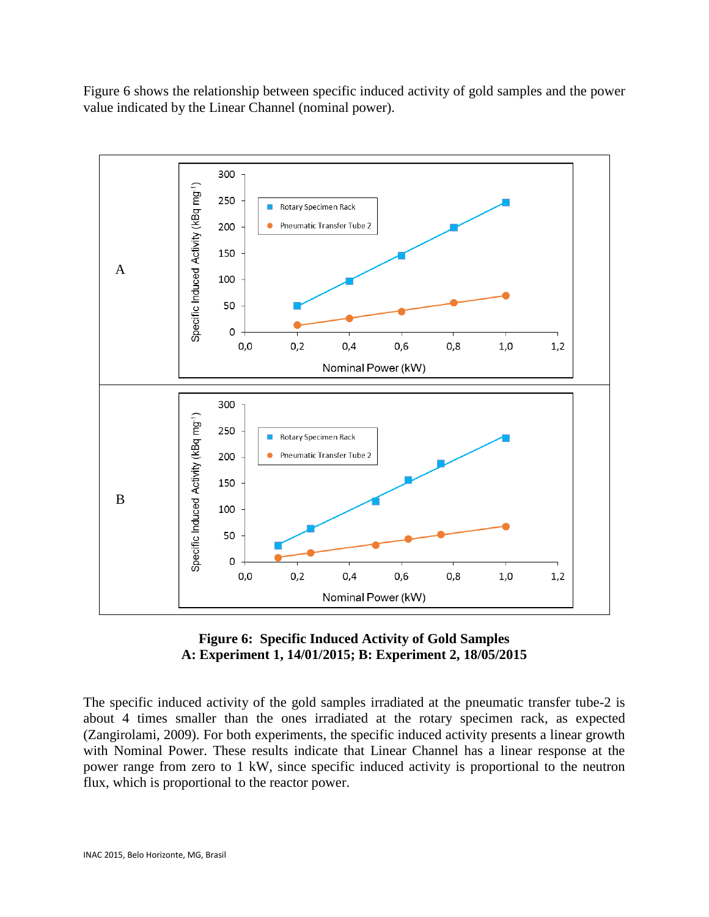Figure 6 shows the relationship between specific induced activity of gold samples and the power value indicated by the Linear Channel (nominal power).





The specific induced activity of the gold samples irradiated at the pneumatic transfer tube-2 is about 4 times smaller than the ones irradiated at the rotary specimen rack, as expected (Zangirolami, 2009). For both experiments, the specific induced activity presents a linear growth with Nominal Power. These results indicate that Linear Channel has a linear response at the power range from zero to 1 kW, since specific induced activity is proportional to the neutron flux, which is proportional to the reactor power.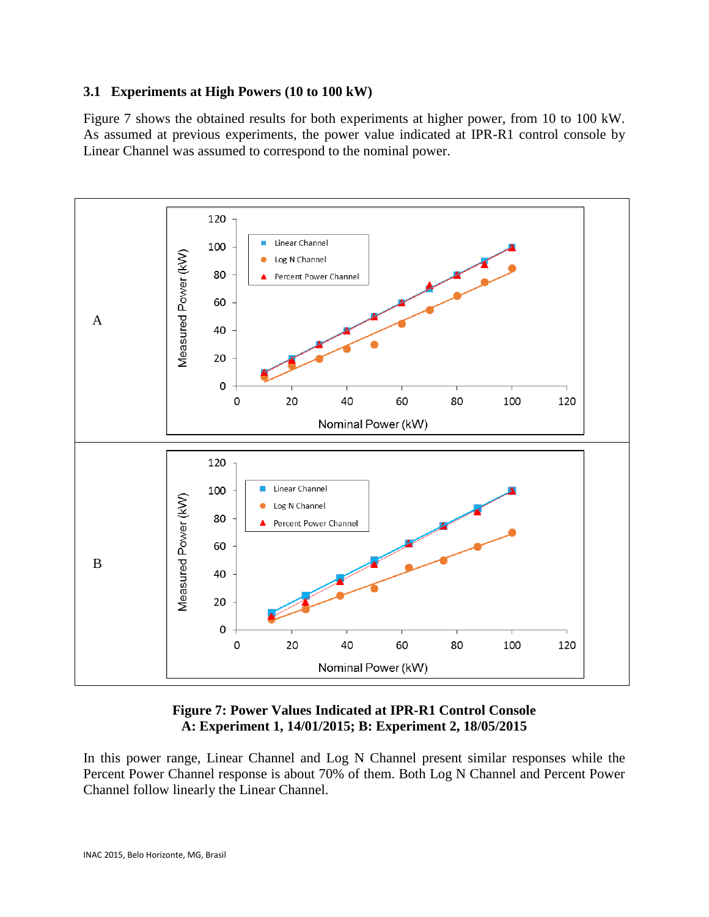## **3.1 Experiments at High Powers (10 to 100 kW)**

Figure 7 shows the obtained results for both experiments at higher power, from 10 to 100 kW. As assumed at previous experiments, the power value indicated at IPR-R1 control console by Linear Channel was assumed to correspond to the nominal power.



## **Figure 7: Power Values Indicated at IPR-R1 Control Console A: Experiment 1, 14/01/2015; B: Experiment 2, 18/05/2015**

In this power range, Linear Channel and Log N Channel present similar responses while the Percent Power Channel response is about 70% of them. Both Log N Channel and Percent Power Channel follow linearly the Linear Channel.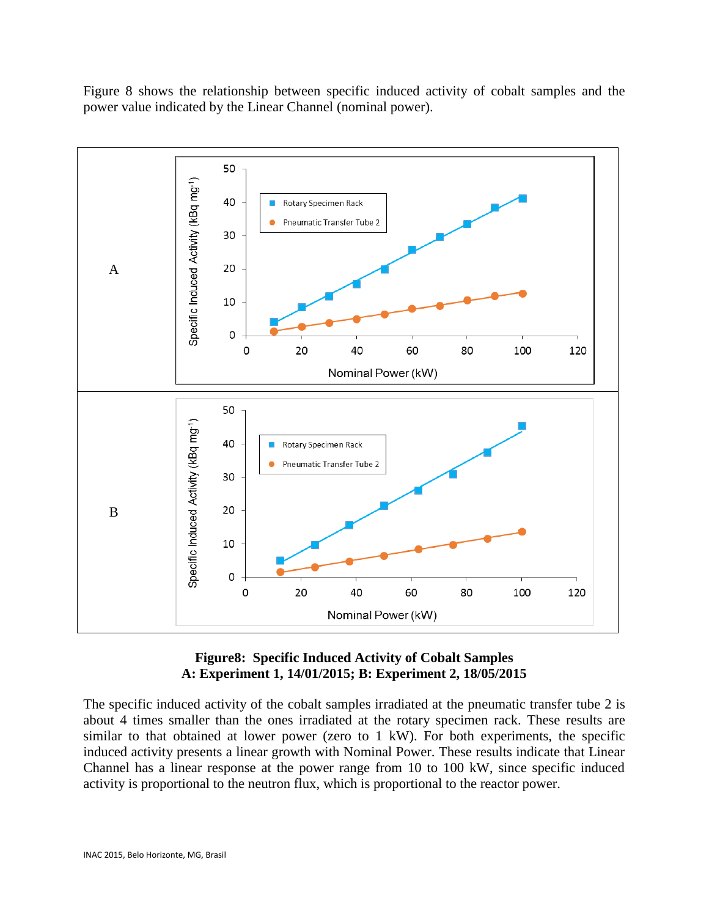Figure 8 shows the relationship between specific induced activity of cobalt samples and the power value indicated by the Linear Channel (nominal power).



## **Figure8: Specific Induced Activity of Cobalt Samples A: Experiment 1, 14/01/2015; B: Experiment 2, 18/05/2015**

The specific induced activity of the cobalt samples irradiated at the pneumatic transfer tube 2 is about 4 times smaller than the ones irradiated at the rotary specimen rack. These results are similar to that obtained at lower power (zero to 1 kW). For both experiments, the specific induced activity presents a linear growth with Nominal Power. These results indicate that Linear Channel has a linear response at the power range from 10 to 100 kW, since specific induced activity is proportional to the neutron flux, which is proportional to the reactor power.